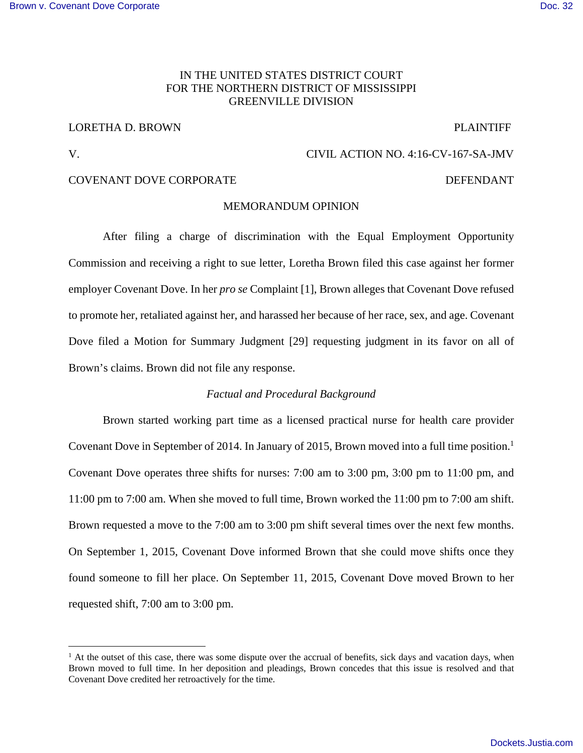# IN THE UNITED STATES DISTRICT COURT FOR THE NORTHERN DISTRICT OF MISSISSIPPI GREENVILLE DIVISION

# LORETHA D. BROWN PLAINTIFF

<u>.</u>

# V. CIVIL ACTION NO. 4:16-CV-167-SA-JMV

# COVENANT DOVE CORPORATE DEFENDANT

### MEMORANDUM OPINION

After filing a charge of discrimination with the Equal Employment Opportunity Commission and receiving a right to sue letter, Loretha Brown filed this case against her former employer Covenant Dove. In her *pro se* Complaint [1], Brown alleges that Covenant Dove refused to promote her, retaliated against her, and harassed her because of her race, sex, and age. Covenant Dove filed a Motion for Summary Judgment [29] requesting judgment in its favor on all of Brown's claims. Brown did not file any response.

## *Factual and Procedural Background*

Brown started working part time as a licensed practical nurse for health care provider Covenant Dove in September of 2014. In January of 2015, Brown moved into a full time position.<sup>1</sup> Covenant Dove operates three shifts for nurses: 7:00 am to 3:00 pm, 3:00 pm to 11:00 pm, and 11:00 pm to 7:00 am. When she moved to full time, Brown worked the 11:00 pm to 7:00 am shift. Brown requested a move to the 7:00 am to 3:00 pm shift several times over the next few months. On September 1, 2015, Covenant Dove informed Brown that she could move shifts once they found someone to fill her place. On September 11, 2015, Covenant Dove moved Brown to her requested shift, 7:00 am to 3:00 pm.

 $<sup>1</sup>$  At the outset of this case, there was some dispute over the accrual of benefits, sick days and vacation days, when</sup> Brown moved to full time. In her deposition and pleadings, Brown concedes that this issue is resolved and that Covenant Dove credited her retroactively for the time.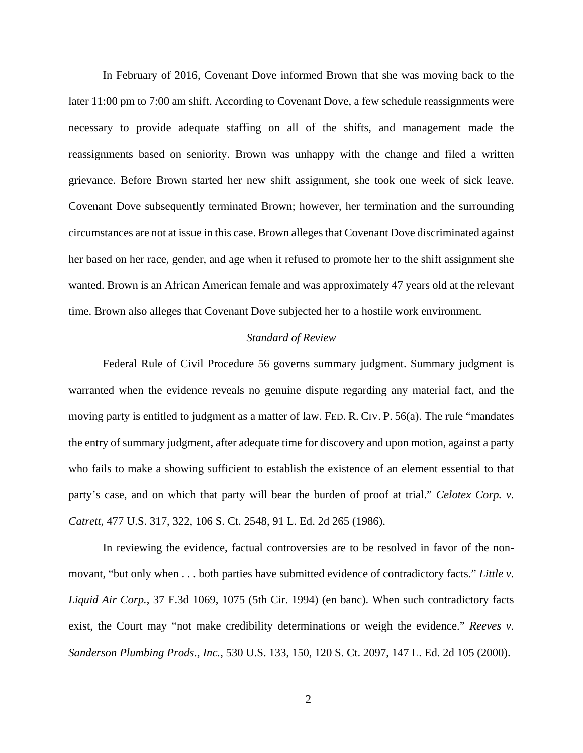In February of 2016, Covenant Dove informed Brown that she was moving back to the later 11:00 pm to 7:00 am shift. According to Covenant Dove, a few schedule reassignments were necessary to provide adequate staffing on all of the shifts, and management made the reassignments based on seniority. Brown was unhappy with the change and filed a written grievance. Before Brown started her new shift assignment, she took one week of sick leave. Covenant Dove subsequently terminated Brown; however, her termination and the surrounding circumstances are not at issue in this case. Brown alleges that Covenant Dove discriminated against her based on her race, gender, and age when it refused to promote her to the shift assignment she wanted. Brown is an African American female and was approximately 47 years old at the relevant time. Brown also alleges that Covenant Dove subjected her to a hostile work environment.

## *Standard of Review*

Federal Rule of Civil Procedure 56 governs summary judgment. Summary judgment is warranted when the evidence reveals no genuine dispute regarding any material fact, and the moving party is entitled to judgment as a matter of law. FED. R. CIV. P. 56(a). The rule "mandates the entry of summary judgment, after adequate time for discovery and upon motion, against a party who fails to make a showing sufficient to establish the existence of an element essential to that party's case, and on which that party will bear the burden of proof at trial." *Celotex Corp. v. Catrett*, 477 U.S. 317, 322, 106 S. Ct. 2548, 91 L. Ed. 2d 265 (1986).

In reviewing the evidence, factual controversies are to be resolved in favor of the nonmovant, "but only when . . . both parties have submitted evidence of contradictory facts." *Little v. Liquid Air Corp.*, 37 F.3d 1069, 1075 (5th Cir. 1994) (en banc). When such contradictory facts exist, the Court may "not make credibility determinations or weigh the evidence." *Reeves v. Sanderson Plumbing Prods., Inc.*, 530 U.S. 133, 150, 120 S. Ct. 2097, 147 L. Ed. 2d 105 (2000).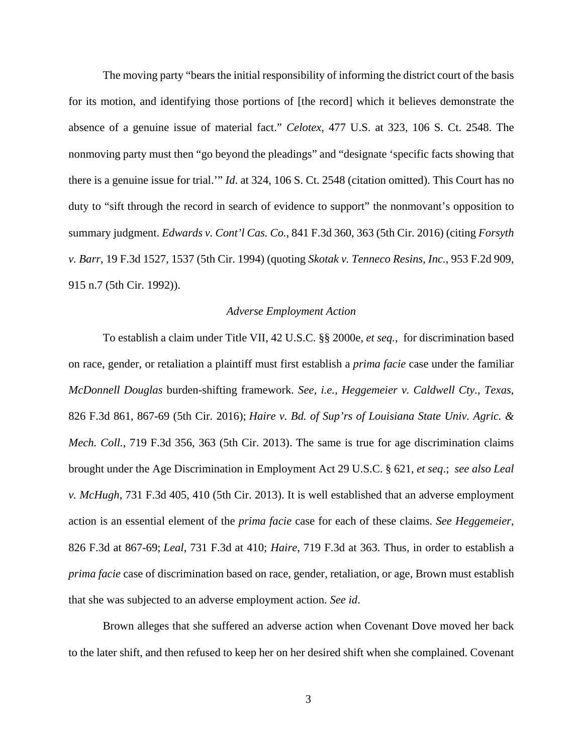The moving party "bears the initial responsibility of informing the district court of the basis for its motion, and identifying those portions of [the record] which it believes demonstrate the absence of a genuine issue of material fact." *Celotex*, 477 U.S. at 323, 106 S. Ct. 2548. The nonmoving party must then "go beyond the pleadings" and "designate 'specific facts showing that there is a genuine issue for trial.'" *Id*. at 324, 106 S. Ct. 2548 (citation omitted). This Court has no duty to "sift through the record in search of evidence to support" the nonmovant's opposition to summary judgment. *Edwards v. Cont'l Cas. Co.*, 841 F.3d 360, 363 (5th Cir. 2016) (citing *Forsyth v. Barr*, 19 F.3d 1527, 1537 (5th Cir. 1994) (quoting *Skotak v. Tenneco Resins, Inc.*, 953 F.2d 909, 915 n.7 (5th Cir. 1992)).

#### *Adverse Employment Action*

To establish a claim under Title VII, 42 U.S.C. §§ 2000e, *et seq.*, for discrimination based on race, gender, or retaliation a plaintiff must first establish a *prima facie* case under the familiar *McDonnell Douglas* burden-shifting framework. *See, i.e., Heggemeier v. Caldwell Cty., Texas*, 826 F.3d 861, 867-69 (5th Cir. 2016); *Haire v. Bd. of Sup'rs of Louisiana State Univ. Agric. & Mech. Coll.*, 719 F.3d 356, 363 (5th Cir. 2013). The same is true for age discrimination claims brought under the Age Discrimination in Employment Act 29 U.S.C. § 621, *et seq*.; *see also Leal v. McHugh*, 731 F.3d 405, 410 (5th Cir. 2013). It is well established that an adverse employment action is an essential element of the *prima facie* case for each of these claims. *See Heggemeier*, 826 F.3d at 867-69; *Leal*, 731 F.3d at 410; *Haire*, 719 F.3d at 363. Thus, in order to establish a *prima facie* case of discrimination based on race, gender, retaliation, or age, Brown must establish that she was subjected to an adverse employment action. *See id*.

Brown alleges that she suffered an adverse action when Covenant Dove moved her back to the later shift, and then refused to keep her on her desired shift when she complained. Covenant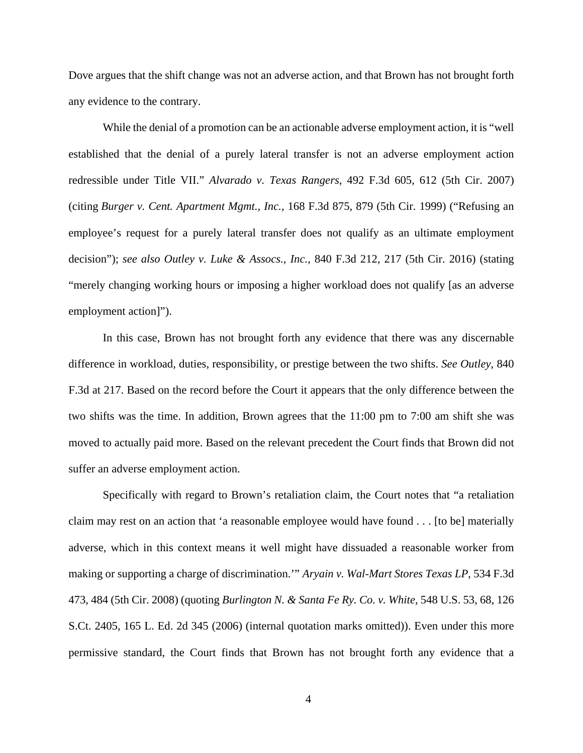Dove argues that the shift change was not an adverse action, and that Brown has not brought forth any evidence to the contrary.

While the denial of a promotion can be an actionable adverse employment action, it is "well established that the denial of a purely lateral transfer is not an adverse employment action redressible under Title VII." *Alvarado v. Texas Rangers*, 492 F.3d 605, 612 (5th Cir. 2007) (citing *Burger v. Cent. Apartment Mgmt., Inc.*, 168 F.3d 875, 879 (5th Cir. 1999) ("Refusing an employee's request for a purely lateral transfer does not qualify as an ultimate employment decision"); *see also Outley v. Luke & Assocs., Inc.*, 840 F.3d 212, 217 (5th Cir. 2016) (stating "merely changing working hours or imposing a higher workload does not qualify [as an adverse employment action]").

In this case, Brown has not brought forth any evidence that there was any discernable difference in workload, duties, responsibility, or prestige between the two shifts. *See Outley*, 840 F.3d at 217. Based on the record before the Court it appears that the only difference between the two shifts was the time. In addition, Brown agrees that the 11:00 pm to 7:00 am shift she was moved to actually paid more. Based on the relevant precedent the Court finds that Brown did not suffer an adverse employment action.

Specifically with regard to Brown's retaliation claim, the Court notes that "a retaliation claim may rest on an action that 'a reasonable employee would have found . . . [to be] materially adverse, which in this context means it well might have dissuaded a reasonable worker from making or supporting a charge of discrimination.'" *Aryain v. Wal-Mart Stores Texas LP*, 534 F.3d 473, 484 (5th Cir. 2008) (quoting *Burlington N. & Santa Fe Ry. Co. v. White*, 548 U.S. 53, 68, 126 S.Ct. 2405, 165 L. Ed. 2d 345 (2006) (internal quotation marks omitted)). Even under this more permissive standard, the Court finds that Brown has not brought forth any evidence that a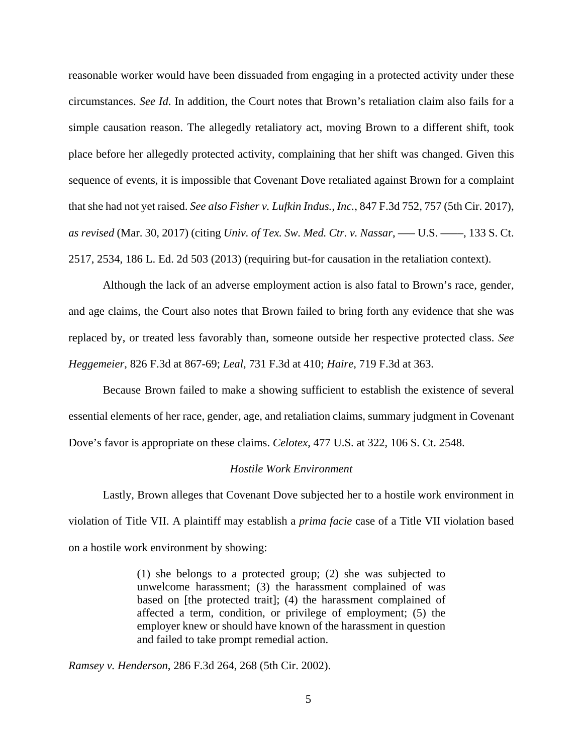reasonable worker would have been dissuaded from engaging in a protected activity under these circumstances. *See Id*. In addition, the Court notes that Brown's retaliation claim also fails for a simple causation reason. The allegedly retaliatory act, moving Brown to a different shift, took place before her allegedly protected activity, complaining that her shift was changed. Given this sequence of events, it is impossible that Covenant Dove retaliated against Brown for a complaint that she had not yet raised. *See also Fisher v. Lufkin Indus., Inc.*, 847 F.3d 752, 757 (5th Cir. 2017), *as revised* (Mar. 30, 2017) (citing *Univ. of Tex. Sw. Med. Ctr. v. Nassar*, ––– U.S. ––––, 133 S. Ct. 2517, 2534, 186 L. Ed. 2d 503 (2013) (requiring but-for causation in the retaliation context).

Although the lack of an adverse employment action is also fatal to Brown's race, gender, and age claims, the Court also notes that Brown failed to bring forth any evidence that she was replaced by, or treated less favorably than, someone outside her respective protected class. *See Heggemeier*, 826 F.3d at 867-69; *Leal*, 731 F.3d at 410; *Haire*, 719 F.3d at 363.

Because Brown failed to make a showing sufficient to establish the existence of several essential elements of her race, gender, age, and retaliation claims, summary judgment in Covenant Dove's favor is appropriate on these claims. *Celotex*, 477 U.S. at 322, 106 S. Ct. 2548.

#### *Hostile Work Environment*

Lastly, Brown alleges that Covenant Dove subjected her to a hostile work environment in violation of Title VII. A plaintiff may establish a *prima facie* case of a Title VII violation based on a hostile work environment by showing:

> (1) she belongs to a protected group; (2) she was subjected to unwelcome harassment; (3) the harassment complained of was based on [the protected trait]; (4) the harassment complained of affected a term, condition, or privilege of employment; (5) the employer knew or should have known of the harassment in question and failed to take prompt remedial action.

*Ramsey v. Henderson*, 286 F.3d 264, 268 (5th Cir. 2002).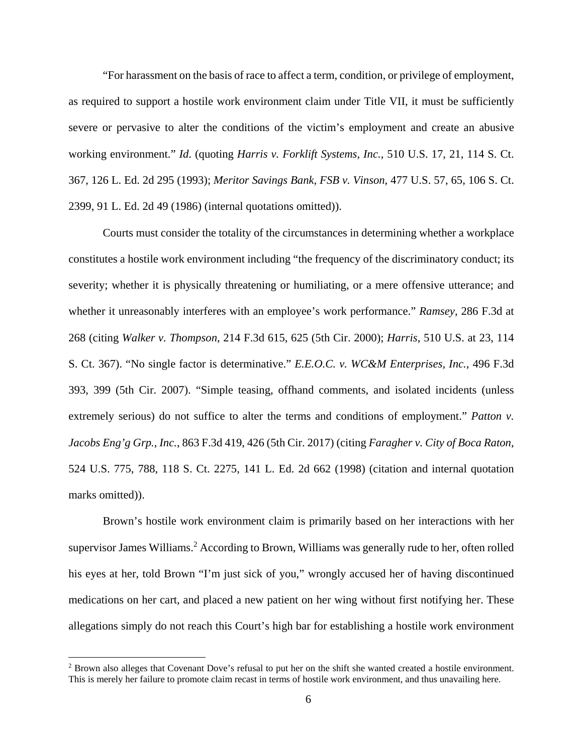"For harassment on the basis of race to affect a term, condition, or privilege of employment, as required to support a hostile work environment claim under Title VII, it must be sufficiently severe or pervasive to alter the conditions of the victim's employment and create an abusive working environment." *Id*. (quoting *Harris v. Forklift Systems, Inc.*, 510 U.S. 17, 21, 114 S. Ct. 367, 126 L. Ed. 2d 295 (1993); *Meritor Savings Bank, FSB v. Vinson*, 477 U.S. 57, 65, 106 S. Ct. 2399, 91 L. Ed. 2d 49 (1986) (internal quotations omitted)).

Courts must consider the totality of the circumstances in determining whether a workplace constitutes a hostile work environment including "the frequency of the discriminatory conduct; its severity; whether it is physically threatening or humiliating, or a mere offensive utterance; and whether it unreasonably interferes with an employee's work performance." *Ramsey*, 286 F.3d at 268 (citing *Walker v. Thompson*, 214 F.3d 615, 625 (5th Cir. 2000); *Harris*, 510 U.S. at 23, 114 S. Ct. 367). "No single factor is determinative." *E.E.O.C. v. WC&M Enterprises, Inc.*, 496 F.3d 393, 399 (5th Cir. 2007). "Simple teasing, offhand comments, and isolated incidents (unless extremely serious) do not suffice to alter the terms and conditions of employment." *Patton v. Jacobs Eng'g Grp., Inc.*, 863 F.3d 419, 426 (5th Cir. 2017) (citing *Faragher v. City of Boca Raton*, 524 U.S. 775, 788, 118 S. Ct. 2275, 141 L. Ed. 2d 662 (1998) (citation and internal quotation marks omitted)).

Brown's hostile work environment claim is primarily based on her interactions with her supervisor James Williams.<sup>2</sup> According to Brown, Williams was generally rude to her, often rolled his eyes at her, told Brown "I'm just sick of you," wrongly accused her of having discontinued medications on her cart, and placed a new patient on her wing without first notifying her. These allegations simply do not reach this Court's high bar for establishing a hostile work environment

 $\overline{a}$ 

<sup>&</sup>lt;sup>2</sup> Brown also alleges that Covenant Dove's refusal to put her on the shift she wanted created a hostile environment. This is merely her failure to promote claim recast in terms of hostile work environment, and thus unavailing here.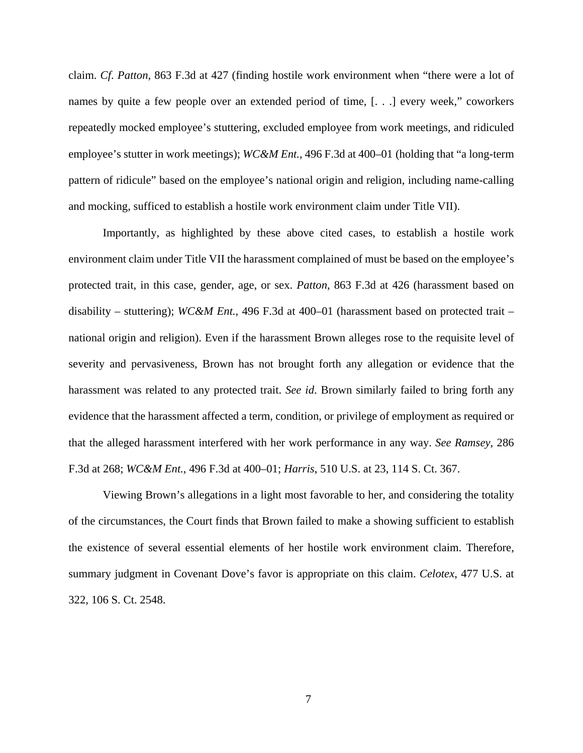claim. *Cf*. *Patton*, 863 F.3d at 427 (finding hostile work environment when "there were a lot of names by quite a few people over an extended period of time, [. . .] every week," coworkers repeatedly mocked employee's stuttering, excluded employee from work meetings, and ridiculed employee's stutter in work meetings); *WC&M Ent.*, 496 F.3d at 400–01 (holding that "a long-term pattern of ridicule" based on the employee's national origin and religion, including name-calling and mocking, sufficed to establish a hostile work environment claim under Title VII).

Importantly, as highlighted by these above cited cases, to establish a hostile work environment claim under Title VII the harassment complained of must be based on the employee's protected trait, in this case, gender, age, or sex. *Patton*, 863 F.3d at 426 (harassment based on disability – stuttering); *WC&M Ent.*, 496 F.3d at 400–01 (harassment based on protected trait – national origin and religion). Even if the harassment Brown alleges rose to the requisite level of severity and pervasiveness, Brown has not brought forth any allegation or evidence that the harassment was related to any protected trait. *See id*. Brown similarly failed to bring forth any evidence that the harassment affected a term, condition, or privilege of employment as required or that the alleged harassment interfered with her work performance in any way. *See Ramsey*, 286 F.3d at 268; *WC&M Ent.*, 496 F.3d at 400–01; *Harris*, 510 U.S. at 23, 114 S. Ct. 367.

Viewing Brown's allegations in a light most favorable to her, and considering the totality of the circumstances, the Court finds that Brown failed to make a showing sufficient to establish the existence of several essential elements of her hostile work environment claim. Therefore, summary judgment in Covenant Dove's favor is appropriate on this claim. *Celotex*, 477 U.S. at 322, 106 S. Ct. 2548.